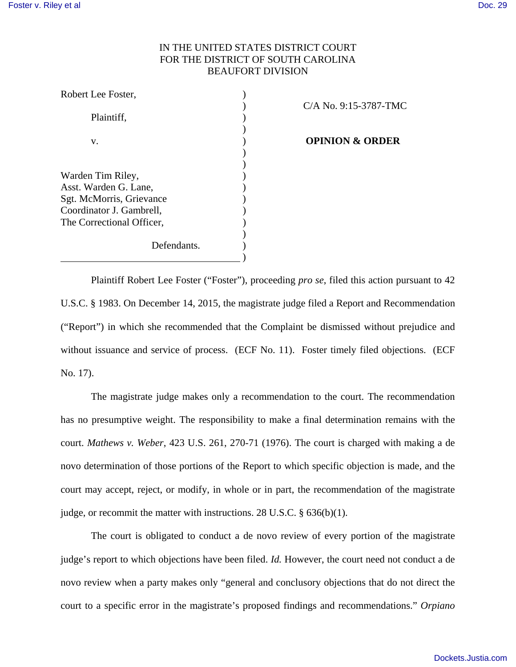Robert Lee Foster, )

# IN THE UNITED STATES DISTRICT COURT FOR THE DISTRICT OF SOUTH CAROLINA BEAUFORT DIVISION

| RODEIL LEE FOSIEI.        |  |
|---------------------------|--|
|                           |  |
| Plaintiff,                |  |
|                           |  |
| V.                        |  |
|                           |  |
|                           |  |
| Warden Tim Riley,         |  |
| Asst. Warden G. Lane,     |  |
| Sgt. McMorris, Grievance  |  |
| Coordinator J. Gambrell,  |  |
| The Correctional Officer, |  |
|                           |  |
| Defendants.               |  |
|                           |  |

) C/A No. 9:15-3787-TMC

**OPINION & ORDER** 

Plaintiff Robert Lee Foster ("Foster"), proceeding *pro se*, filed this action pursuant to 42 U.S.C. § 1983. On December 14, 2015, the magistrate judge filed a Report and Recommendation ("Report") in which she recommended that the Complaint be dismissed without prejudice and without issuance and service of process. (ECF No. 11). Foster timely filed objections. (ECF No. 17).

The magistrate judge makes only a recommendation to the court. The recommendation has no presumptive weight. The responsibility to make a final determination remains with the court. *Mathews v. Weber*, 423 U.S. 261, 270-71 (1976). The court is charged with making a de novo determination of those portions of the Report to which specific objection is made, and the court may accept, reject, or modify, in whole or in part, the recommendation of the magistrate judge, or recommit the matter with instructions. 28 U.S.C. § 636(b)(1).

The court is obligated to conduct a de novo review of every portion of the magistrate judge's report to which objections have been filed. *Id.* However, the court need not conduct a de novo review when a party makes only "general and conclusory objections that do not direct the court to a specific error in the magistrate's proposed findings and recommendations." *Orpiano*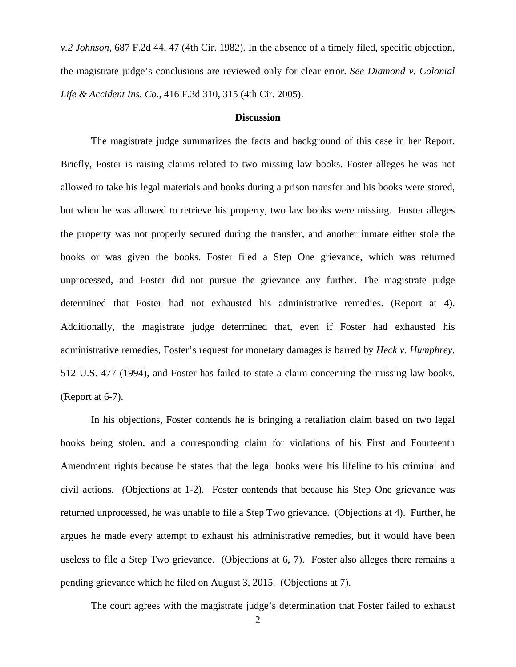*v.2 Johnson*, 687 F.2d 44, 47 (4th Cir. 1982). In the absence of a timely filed, specific objection, the magistrate judge's conclusions are reviewed only for clear error. *See Diamond v. Colonial Life & Accident Ins. Co.*, 416 F.3d 310, 315 (4th Cir. 2005).

## **Discussion**

The magistrate judge summarizes the facts and background of this case in her Report. Briefly, Foster is raising claims related to two missing law books. Foster alleges he was not allowed to take his legal materials and books during a prison transfer and his books were stored, but when he was allowed to retrieve his property, two law books were missing. Foster alleges the property was not properly secured during the transfer, and another inmate either stole the books or was given the books. Foster filed a Step One grievance, which was returned unprocessed, and Foster did not pursue the grievance any further. The magistrate judge determined that Foster had not exhausted his administrative remedies. (Report at 4). Additionally, the magistrate judge determined that, even if Foster had exhausted his administrative remedies, Foster's request for monetary damages is barred by *Heck v. Humphrey*, 512 U.S. 477 (1994), and Foster has failed to state a claim concerning the missing law books. (Report at 6-7).

In his objections, Foster contends he is bringing a retaliation claim based on two legal books being stolen, and a corresponding claim for violations of his First and Fourteenth Amendment rights because he states that the legal books were his lifeline to his criminal and civil actions. (Objections at 1-2). Foster contends that because his Step One grievance was returned unprocessed, he was unable to file a Step Two grievance. (Objections at 4). Further, he argues he made every attempt to exhaust his administrative remedies, but it would have been useless to file a Step Two grievance. (Objections at 6, 7). Foster also alleges there remains a pending grievance which he filed on August 3, 2015. (Objections at 7).

The court agrees with the magistrate judge's determination that Foster failed to exhaust